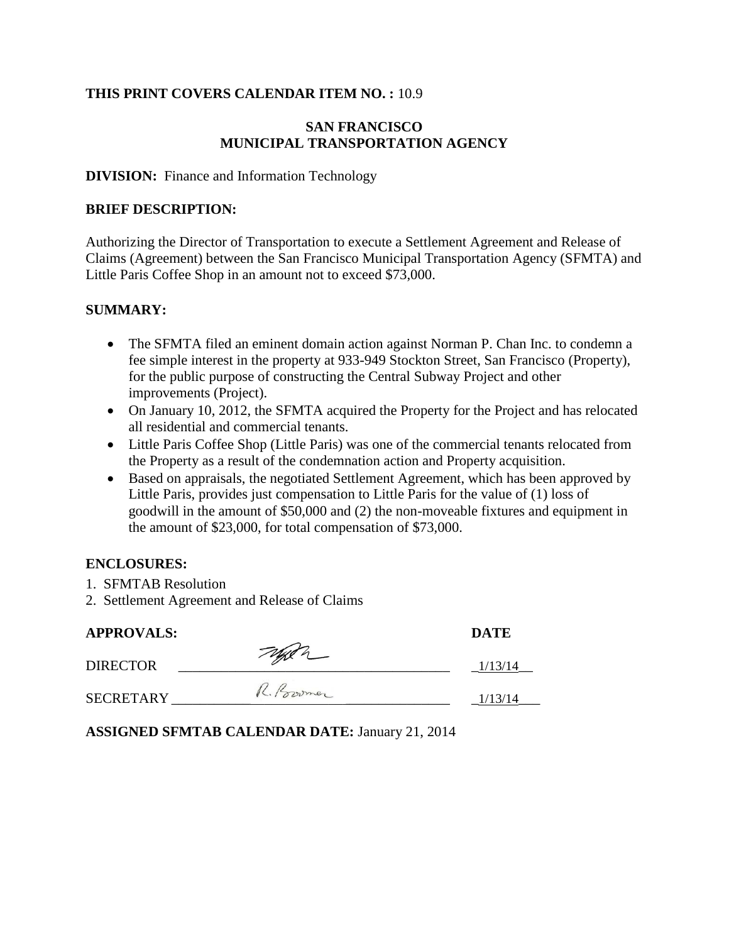#### **THIS PRINT COVERS CALENDAR ITEM NO. :** 10.9

#### **SAN FRANCISCO MUNICIPAL TRANSPORTATION AGENCY**

#### **DIVISION:** Finance and Information Technology

#### **BRIEF DESCRIPTION:**

Authorizing the Director of Transportation to execute a Settlement Agreement and Release of Claims (Agreement) between the San Francisco Municipal Transportation Agency (SFMTA) and Little Paris Coffee Shop in an amount not to exceed \$73,000.

#### **SUMMARY:**

- The SFMTA filed an eminent domain action against Norman P. Chan Inc. to condemn a fee simple interest in the property at 933-949 Stockton Street, San Francisco (Property), for the public purpose of constructing the Central Subway Project and other improvements (Project).
- On January 10, 2012, the SFMTA acquired the Property for the Project and has relocated all residential and commercial tenants.
- Little Paris Coffee Shop (Little Paris) was one of the commercial tenants relocated from the Property as a result of the condemnation action and Property acquisition.
- Based on appraisals, the negotiated Settlement Agreement, which has been approved by Little Paris, provides just compensation to Little Paris for the value of (1) loss of goodwill in the amount of \$50,000 and (2) the non-moveable fixtures and equipment in the amount of \$23,000, for total compensation of \$73,000.

#### **ENCLOSURES:**

- 1. SFMTAB Resolution
- 2. Settlement Agreement and Release of Claims

| <b>APPROVALS:</b> |             | <b>DATE</b> |
|-------------------|-------------|-------------|
| <b>DIRECTOR</b>   | Teggen      | 1/13/14     |
| <b>SECRETARY</b>  | R. Province | 1/13/14     |

**ASSIGNED SFMTAB CALENDAR DATE:** January 21, 2014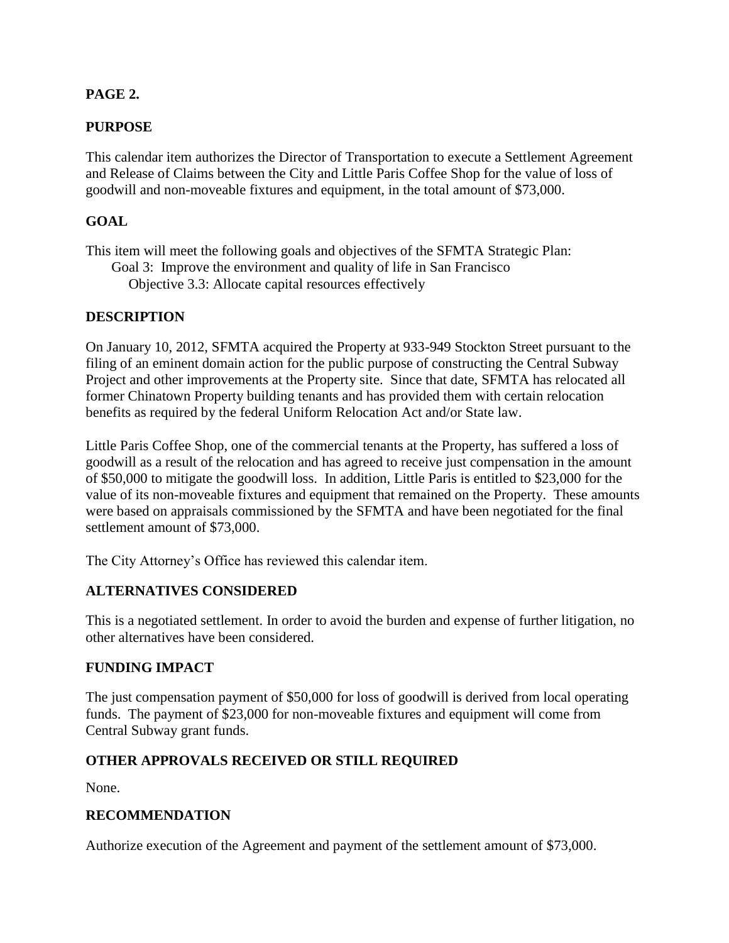#### **PAGE 2.**

#### **PURPOSE**

This calendar item authorizes the Director of Transportation to execute a Settlement Agreement and Release of Claims between the City and Little Paris Coffee Shop for the value of loss of goodwill and non-moveable fixtures and equipment, in the total amount of \$73,000.

#### **GOAL**

This item will meet the following goals and objectives of the SFMTA Strategic Plan:

Goal 3: Improve the environment and quality of life in San Francisco

Objective 3.3: Allocate capital resources effectively

#### **DESCRIPTION**

On January 10, 2012, SFMTA acquired the Property at 933-949 Stockton Street pursuant to the filing of an eminent domain action for the public purpose of constructing the Central Subway Project and other improvements at the Property site. Since that date, SFMTA has relocated all former Chinatown Property building tenants and has provided them with certain relocation benefits as required by the federal Uniform Relocation Act and/or State law.

Little Paris Coffee Shop, one of the commercial tenants at the Property, has suffered a loss of goodwill as a result of the relocation and has agreed to receive just compensation in the amount of \$50,000 to mitigate the goodwill loss. In addition, Little Paris is entitled to \$23,000 for the value of its non-moveable fixtures and equipment that remained on the Property. These amounts were based on appraisals commissioned by the SFMTA and have been negotiated for the final settlement amount of \$73,000.

The City Attorney's Office has reviewed this calendar item.

#### **ALTERNATIVES CONSIDERED**

This is a negotiated settlement. In order to avoid the burden and expense of further litigation, no other alternatives have been considered.

#### **FUNDING IMPACT**

The just compensation payment of \$50,000 for loss of goodwill is derived from local operating funds. The payment of \$23,000 for non-moveable fixtures and equipment will come from Central Subway grant funds.

### **OTHER APPROVALS RECEIVED OR STILL REQUIRED**

None.

#### **RECOMMENDATION**

Authorize execution of the Agreement and payment of the settlement amount of \$73,000.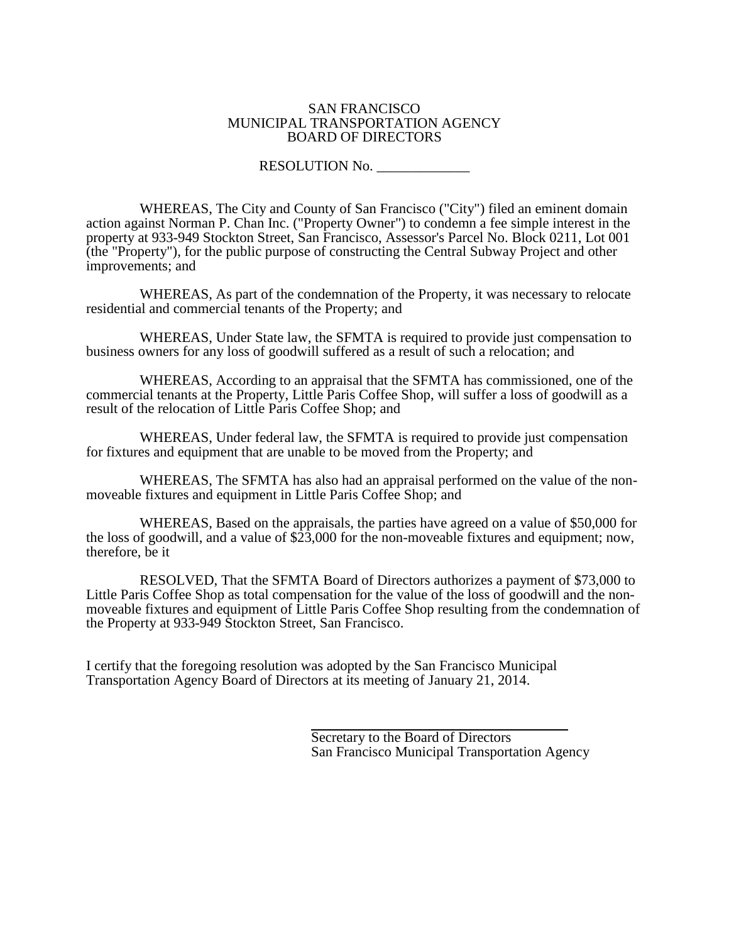#### SAN FRANCISCO MUNICIPAL TRANSPORTATION AGENCY BOARD OF DIRECTORS

#### RESOLUTION No.

WHEREAS, The City and County of San Francisco ("City") filed an eminent domain action against Norman P. Chan Inc. ("Property Owner") to condemn a fee simple interest in the property at 933-949 Stockton Street, San Francisco, Assessor's Parcel No. Block 0211, Lot 001 (the "Property"), for the public purpose of constructing the Central Subway Project and other improvements; and

WHEREAS, As part of the condemnation of the Property, it was necessary to relocate residential and commercial tenants of the Property; and

WHEREAS, Under State law, the SFMTA is required to provide just compensation to business owners for any loss of goodwill suffered as a result of such a relocation; and

WHEREAS, According to an appraisal that the SFMTA has commissioned, one of the commercial tenants at the Property, Little Paris Coffee Shop, will suffer a loss of goodwill as a result of the relocation of Little Paris Coffee Shop; and

WHEREAS, Under federal law, the SFMTA is required to provide just compensation for fixtures and equipment that are unable to be moved from the Property; and

WHEREAS, The SFMTA has also had an appraisal performed on the value of the nonmoveable fixtures and equipment in Little Paris Coffee Shop; and

WHEREAS, Based on the appraisals, the parties have agreed on a value of \$50,000 for the loss of goodwill, and a value of \$23,000 for the non-moveable fixtures and equipment; now, therefore, be it

RESOLVED, That the SFMTA Board of Directors authorizes a payment of \$73,000 to Little Paris Coffee Shop as total compensation for the value of the loss of goodwill and the nonmoveable fixtures and equipment of Little Paris Coffee Shop resulting from the condemnation of the Property at 933-949 Stockton Street, San Francisco.

I certify that the foregoing resolution was adopted by the San Francisco Municipal Transportation Agency Board of Directors at its meeting of January 21, 2014.

> Secretary to the Board of Directors San Francisco Municipal Transportation Agency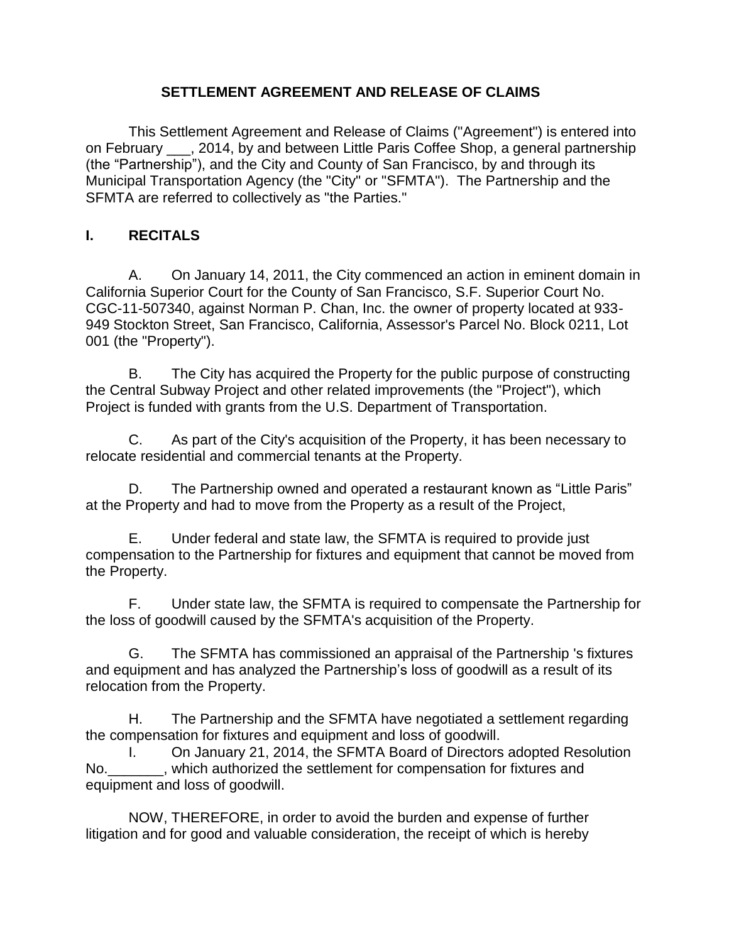#### **SETTLEMENT AGREEMENT AND RELEASE OF CLAIMS**

This Settlement Agreement and Release of Claims ("Agreement") is entered into on February \_\_\_, 2014, by and between Little Paris Coffee Shop, a general partnership (the "Partnership"), and the City and County of San Francisco, by and through its Municipal Transportation Agency (the "City" or "SFMTA"). The Partnership and the SFMTA are referred to collectively as "the Parties."

### **I. RECITALS**

A. On January 14, 2011, the City commenced an action in eminent domain in California Superior Court for the County of San Francisco, S.F. Superior Court No. CGC-11-507340, against Norman P. Chan, Inc. the owner of property located at 933- 949 Stockton Street, San Francisco, California, Assessor's Parcel No. Block 0211, Lot 001 (the "Property").

B. The City has acquired the Property for the public purpose of constructing the Central Subway Project and other related improvements (the "Project"), which Project is funded with grants from the U.S. Department of Transportation.

C. As part of the City's acquisition of the Property, it has been necessary to relocate residential and commercial tenants at the Property.

D. The Partnership owned and operated a restaurant known as "Little Paris" at the Property and had to move from the Property as a result of the Project,

E. Under federal and state law, the SFMTA is required to provide just compensation to the Partnership for fixtures and equipment that cannot be moved from the Property.

F. Under state law, the SFMTA is required to compensate the Partnership for the loss of goodwill caused by the SFMTA's acquisition of the Property.

G. The SFMTA has commissioned an appraisal of the Partnership 's fixtures and equipment and has analyzed the Partnership's loss of goodwill as a result of its relocation from the Property.

H. The Partnership and the SFMTA have negotiated a settlement regarding the compensation for fixtures and equipment and loss of goodwill.

I. On January 21, 2014, the SFMTA Board of Directors adopted Resolution No.  $\blacksquare$ , which authorized the settlement for compensation for fixtures and equipment and loss of goodwill.

NOW, THEREFORE, in order to avoid the burden and expense of further litigation and for good and valuable consideration, the receipt of which is hereby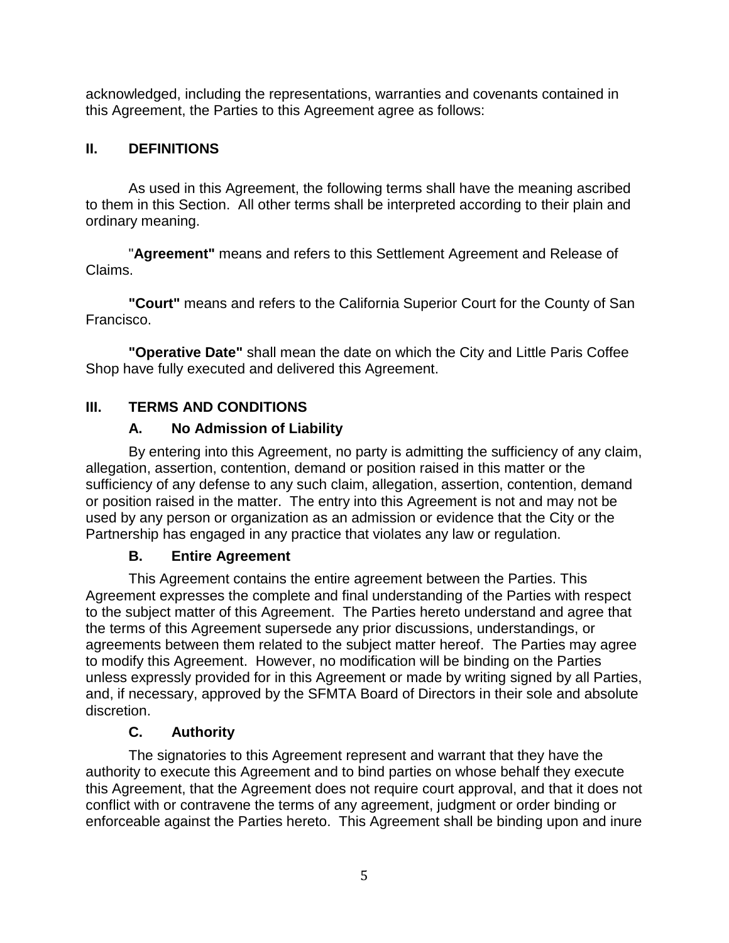acknowledged, including the representations, warranties and covenants contained in this Agreement, the Parties to this Agreement agree as follows:

### **II. DEFINITIONS**

As used in this Agreement, the following terms shall have the meaning ascribed to them in this Section. All other terms shall be interpreted according to their plain and ordinary meaning.

"**Agreement"** means and refers to this Settlement Agreement and Release of Claims.

**"Court"** means and refers to the California Superior Court for the County of San Francisco.

**"Operative Date"** shall mean the date on which the City and Little Paris Coffee Shop have fully executed and delivered this Agreement.

### **III. TERMS AND CONDITIONS**

### **A. No Admission of Liability**

By entering into this Agreement, no party is admitting the sufficiency of any claim, allegation, assertion, contention, demand or position raised in this matter or the sufficiency of any defense to any such claim, allegation, assertion, contention, demand or position raised in the matter. The entry into this Agreement is not and may not be used by any person or organization as an admission or evidence that the City or the Partnership has engaged in any practice that violates any law or regulation.

### **B. Entire Agreement**

This Agreement contains the entire agreement between the Parties. This Agreement expresses the complete and final understanding of the Parties with respect to the subject matter of this Agreement. The Parties hereto understand and agree that the terms of this Agreement supersede any prior discussions, understandings, or agreements between them related to the subject matter hereof. The Parties may agree to modify this Agreement. However, no modification will be binding on the Parties unless expressly provided for in this Agreement or made by writing signed by all Parties, and, if necessary, approved by the SFMTA Board of Directors in their sole and absolute discretion.

### **C. Authority**

The signatories to this Agreement represent and warrant that they have the authority to execute this Agreement and to bind parties on whose behalf they execute this Agreement, that the Agreement does not require court approval, and that it does not conflict with or contravene the terms of any agreement, judgment or order binding or enforceable against the Parties hereto. This Agreement shall be binding upon and inure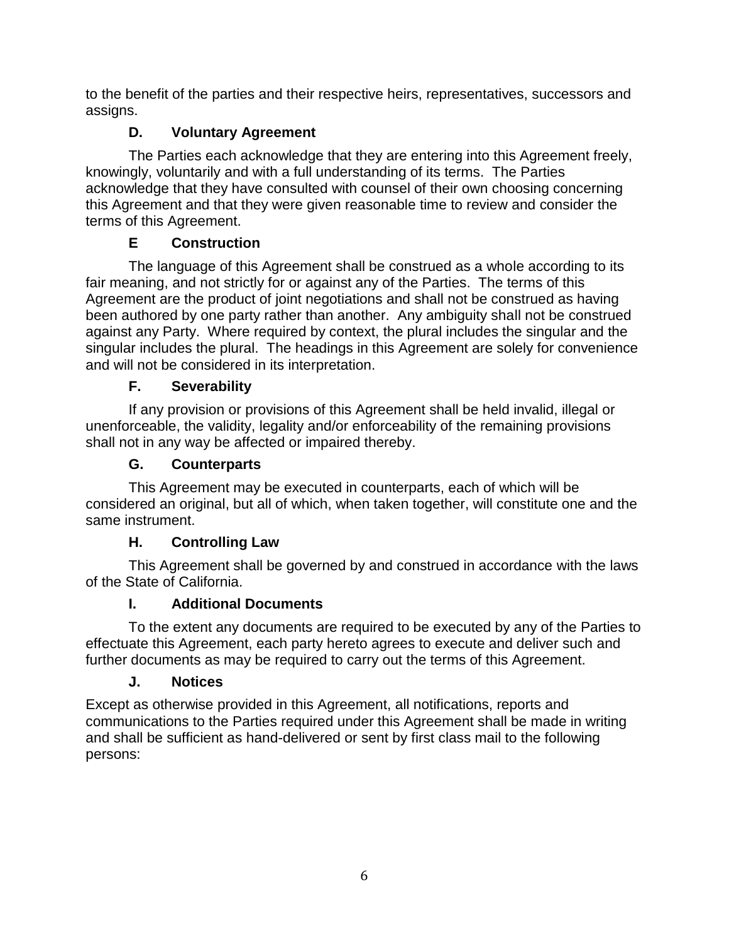to the benefit of the parties and their respective heirs, representatives, successors and assigns.

# **D. Voluntary Agreement**

The Parties each acknowledge that they are entering into this Agreement freely, knowingly, voluntarily and with a full understanding of its terms. The Parties acknowledge that they have consulted with counsel of their own choosing concerning this Agreement and that they were given reasonable time to review and consider the terms of this Agreement.

# **E Construction**

The language of this Agreement shall be construed as a whole according to its fair meaning, and not strictly for or against any of the Parties. The terms of this Agreement are the product of joint negotiations and shall not be construed as having been authored by one party rather than another. Any ambiguity shall not be construed against any Party. Where required by context, the plural includes the singular and the singular includes the plural. The headings in this Agreement are solely for convenience and will not be considered in its interpretation.

# **F. Severability**

If any provision or provisions of this Agreement shall be held invalid, illegal or unenforceable, the validity, legality and/or enforceability of the remaining provisions shall not in any way be affected or impaired thereby.

# **G. Counterparts**

This Agreement may be executed in counterparts, each of which will be considered an original, but all of which, when taken together, will constitute one and the same instrument.

# **H. Controlling Law**

This Agreement shall be governed by and construed in accordance with the laws of the State of California.

# **I. Additional Documents**

To the extent any documents are required to be executed by any of the Parties to effectuate this Agreement, each party hereto agrees to execute and deliver such and further documents as may be required to carry out the terms of this Agreement.

# **J. Notices**

Except as otherwise provided in this Agreement, all notifications, reports and communications to the Parties required under this Agreement shall be made in writing and shall be sufficient as hand-delivered or sent by first class mail to the following persons: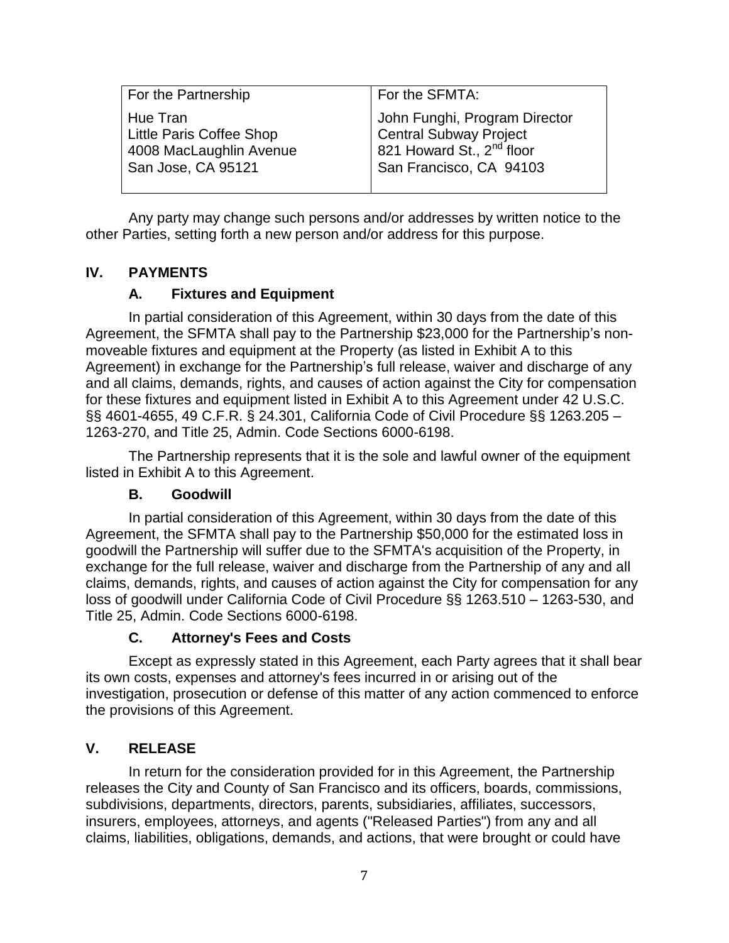| For the Partnership                                                                   | For the SFMTA:                                                                                                              |
|---------------------------------------------------------------------------------------|-----------------------------------------------------------------------------------------------------------------------------|
| Hue Tran<br>Little Paris Coffee Shop<br>4008 MacLaughlin Avenue<br>San Jose, CA 95121 | John Funghi, Program Director<br>Central Subway Project<br>821 Howard St., 2 <sup>nd</sup> floor<br>San Francisco, CA 94103 |

Any party may change such persons and/or addresses by written notice to the other Parties, setting forth a new person and/or address for this purpose.

### **IV. PAYMENTS**

#### **A. Fixtures and Equipment**

In partial consideration of this Agreement, within 30 days from the date of this Agreement, the SFMTA shall pay to the Partnership \$23,000 for the Partnership's nonmoveable fixtures and equipment at the Property (as listed in Exhibit A to this Agreement) in exchange for the Partnership's full release, waiver and discharge of any and all claims, demands, rights, and causes of action against the City for compensation for these fixtures and equipment listed in Exhibit A to this Agreement under 42 U.S.C. §§ 4601-4655, 49 C.F.R. § 24.301, California Code of Civil Procedure §§ 1263.205 – 1263-270, and Title 25, Admin. Code Sections 6000-6198.

The Partnership represents that it is the sole and lawful owner of the equipment listed in Exhibit A to this Agreement.

#### **B. Goodwill**

In partial consideration of this Agreement, within 30 days from the date of this Agreement, the SFMTA shall pay to the Partnership \$50,000 for the estimated loss in goodwill the Partnership will suffer due to the SFMTA's acquisition of the Property, in exchange for the full release, waiver and discharge from the Partnership of any and all claims, demands, rights, and causes of action against the City for compensation for any loss of goodwill under California Code of Civil Procedure §§ 1263.510 – 1263-530, and Title 25, Admin. Code Sections 6000-6198.

### **C. Attorney's Fees and Costs**

Except as expressly stated in this Agreement, each Party agrees that it shall bear its own costs, expenses and attorney's fees incurred in or arising out of the investigation, prosecution or defense of this matter of any action commenced to enforce the provisions of this Agreement.

### **V. RELEASE**

In return for the consideration provided for in this Agreement, the Partnership releases the City and County of San Francisco and its officers, boards, commissions, subdivisions, departments, directors, parents, subsidiaries, affiliates, successors, insurers, employees, attorneys, and agents ("Released Parties") from any and all claims, liabilities, obligations, demands, and actions, that were brought or could have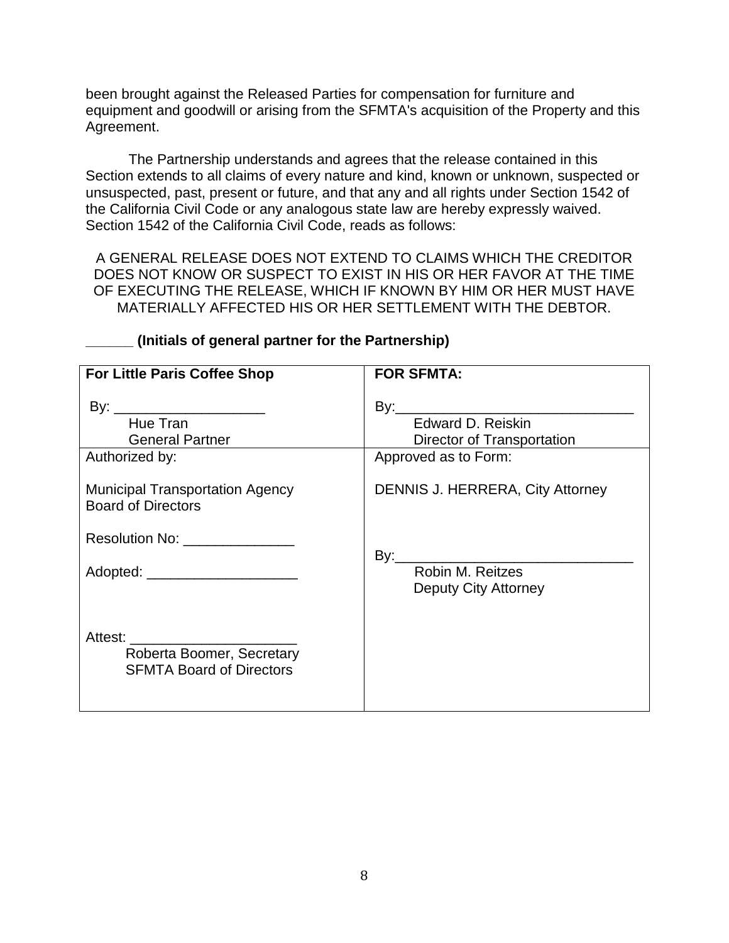been brought against the Released Parties for compensation for furniture and equipment and goodwill or arising from the SFMTA's acquisition of the Property and this Agreement.

The Partnership understands and agrees that the release contained in this Section extends to all claims of every nature and kind, known or unknown, suspected or unsuspected, past, present or future, and that any and all rights under Section 1542 of the California Civil Code or any analogous state law are hereby expressly waived. Section 1542 of the California Civil Code, reads as follows:

A GENERAL RELEASE DOES NOT EXTEND TO CLAIMS WHICH THE CREDITOR DOES NOT KNOW OR SUSPECT TO EXIST IN HIS OR HER FAVOR AT THE TIME OF EXECUTING THE RELEASE, WHICH IF KNOWN BY HIM OR HER MUST HAVE MATERIALLY AFFECTED HIS OR HER SETTLEMENT WITH THE DEBTOR.

| <b>For Little Paris Coffee Shop</b>                                                            | <b>FOR SFMTA:</b>                                                       |  |  |
|------------------------------------------------------------------------------------------------|-------------------------------------------------------------------------|--|--|
| By: __________________________<br>Hue Tran<br><b>General Partner</b><br>Authorized by:         | Edward D. Reiskin<br>Director of Transportation<br>Approved as to Form: |  |  |
| <b>Municipal Transportation Agency</b><br><b>Board of Directors</b>                            | <b>DENNIS J. HERRERA, City Attorney</b>                                 |  |  |
| Resolution No: ________________                                                                |                                                                         |  |  |
| Adopted: ________________________                                                              | By: Robin M. Reitzes<br>Deputy City Attorney                            |  |  |
| Attest: ______________________<br>Roberta Boomer, Secretary<br><b>SFMTA Board of Directors</b> |                                                                         |  |  |

#### **\_\_\_\_\_\_ (Initials of general partner for the Partnership)**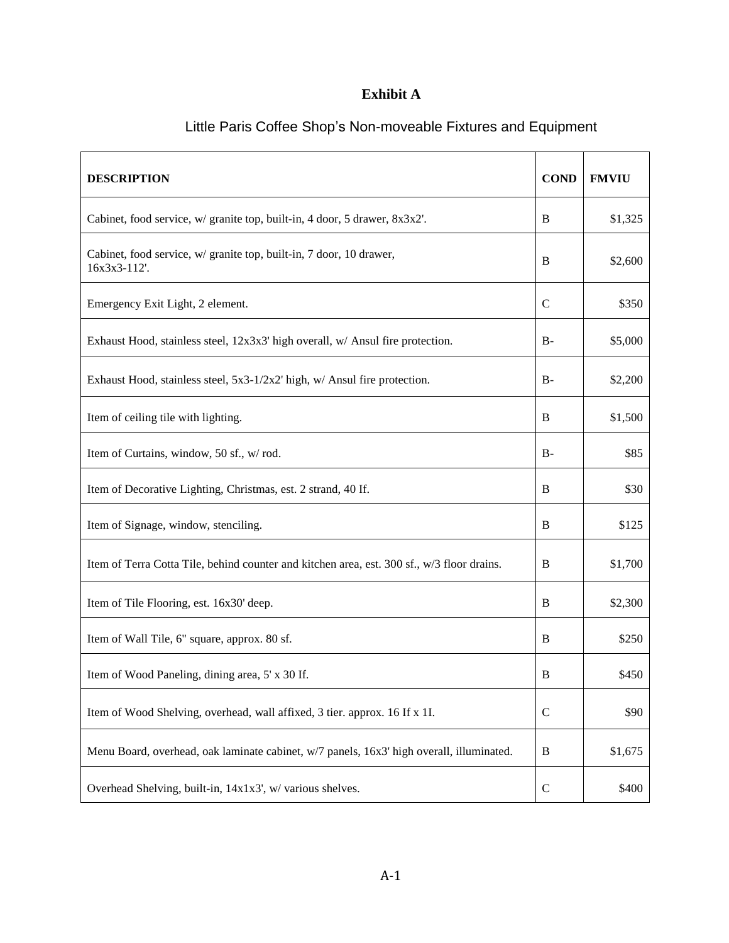### **Exhibit A**

| <b>DESCRIPTION</b>                                                                         |               | <b>FMVIU</b> |
|--------------------------------------------------------------------------------------------|---------------|--------------|
| Cabinet, food service, w/ granite top, built-in, 4 door, 5 drawer, 8x3x2'.                 | B             | \$1,325      |
| Cabinet, food service, w/ granite top, built-in, 7 door, 10 drawer,<br>16x3x3-112'.        | B             | \$2,600      |
| Emergency Exit Light, 2 element.                                                           | $\mathcal{C}$ | \$350        |
| Exhaust Hood, stainless steel, 12x3x3' high overall, w/ Ansul fire protection.             | $B-$          | \$5,000      |
| Exhaust Hood, stainless steel, 5x3-1/2x2' high, w/ Ansul fire protection.                  | B-            | \$2,200      |
| Item of ceiling tile with lighting.                                                        | B             | \$1,500      |
| Item of Curtains, window, 50 sf., w/rod.                                                   | $B-$          | \$85         |
| Item of Decorative Lighting, Christmas, est. 2 strand, 40 If.                              | B             | \$30         |
| Item of Signage, window, stenciling.                                                       | B             | \$125        |
| Item of Terra Cotta Tile, behind counter and kitchen area, est. 300 sf., w/3 floor drains. | B             | \$1,700      |
| Item of Tile Flooring, est. 16x30' deep.                                                   | B             | \$2,300      |
| Item of Wall Tile, 6" square, approx. 80 sf.                                               | B             | \$250        |
| Item of Wood Paneling, dining area, 5' x 30 If.                                            | B             | \$450        |
| Item of Wood Shelving, overhead, wall affixed, 3 tier. approx. 16 If x 1I.                 | $\mathcal{C}$ | \$90         |
| Menu Board, overhead, oak laminate cabinet, w/7 panels, 16x3' high overall, illuminated.   | B             | \$1,675      |
| Overhead Shelving, built-in, 14x1x3', w/ various shelves.                                  | $\mathcal{C}$ | \$400        |

# Little Paris Coffee Shop's Non-moveable Fixtures and Equipment